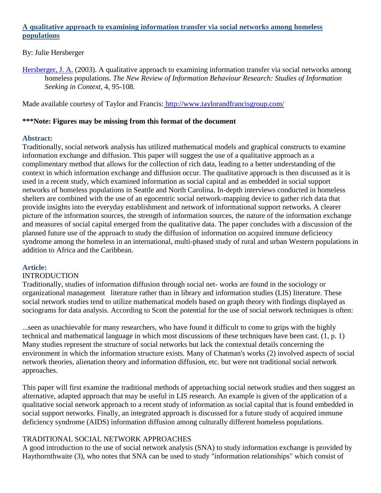## **A qualitative approach to examining information transfer via social networks among homeless populations**

#### By: Julie Hersberger

[Hersberger, J. A.](http://libres.uncg.edu/ir/uncg/clist.aspx?id=1178) (2003). A qualitative approach to examining information transfer via social networks among homeless populations. *The New Review of Information Behaviour Research: Studies of Information Seeking in Context*, 4, 95-108.

Made available courtesy of Taylor and Francis: <http://www.taylorandfrancisgroup.com/>

#### **\*\*\*Note: Figures may be missing from this format of the document**

#### **Abstract:**

Traditionally, social network analysis has utilized mathematical models and graphical constructs to examine information exchange and diffusion. This paper will suggest the use of a qualitative approach as a complimentary method that allows for the collection of rich data, leading to a better understanding of the context in which information exchange and diffusion occur. The qualitative approach is then discussed as it is used in a recent study, which examined information as social capital and as embedded in social support networks of homeless populations in Seattle and North Carolina. In-depth interviews conducted in homeless shelters are combined with the use of an egocentric social network-mapping device to gather rich data that provide insights into the everyday establishment and network of informational support networks. A clearer picture of the information sources, the strength of information sources, the nature of the information exchange and measures of social capital emerged from the qualitative data. The paper concludes with a discussion of the planned future use of the approach to study the diffusion of information on acquired immune deficiency syndrome among the homeless in an international, multi-phased study of rural and urban Western populations in addition to Africa and the Caribbean.

## **Article:**

#### **INTRODUCTION**

Traditionally, studies of information diffusion through social net- works are found in the sociology or organizational management literature rather than in library and information studies (LIS) literature. These social network studies tend to utilize mathematical models based on graph theory with findings displayed as sociograms for data analysis. According to Scott the potential for the use of social network techniques is often:

...seen as unachievable for many researchers, who have found it difficult to come to grips with the highly technical and mathematical language in which most discussions of these techniques have been cast. (1, p. 1) Many studies represent the structure of social networks but lack the contextual details concerning the environment in which the information structure exists. Many of Chatman's works (2) involved aspects of social network theories, alienation theory and information diffusion, etc. but were not traditional social network approaches.

This paper will first examine the traditional methods of approaching social network studies and then suggest an alternative, adapted approach that may be useful in LIS research. An example is given of the application of a qualitative social network approach to a recent study of information as social capital that is found embedded in social support networks. Finally, an integrated approach is discussed for a future study of acquired immune deficiency syndrome (AIDS) information diffusion among culturally different homeless populations.

## TRADITIONAL SOCIAL NETWORK APPROACHES

A good introduction to the use of social network analysis (SNA) to study information exchange is provided by Haythornthwaite (3), who notes that SNA can be used to study "information relationships" which consist of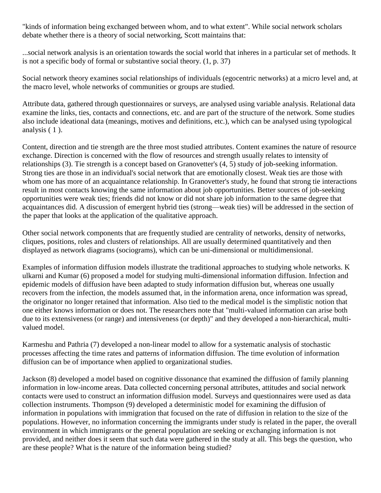"kinds of information being exchanged between whom, and to what extent". While social network scholars debate whether there is a theory of social networking, Scott maintains that:

...social network analysis is an orientation towards the social world that inheres in a particular set of methods. It is not a specific body of formal or substantive social theory. (1, p. 37)

Social network theory examines social relationships of individuals (egocentric networks) at a micro level and, at the macro level, whole networks of communities or groups are studied.

Attribute data, gathered through questionnaires or surveys, are analysed using variable analysis. Relational data examine the links, ties, contacts and connections, etc. and are part of the structure of the network. Some studies also include ideational data (meanings, motives and definitions, etc.), which can be analysed using typological analysis ( 1 ).

Content, direction and tie strength are the three most studied attributes. Content examines the nature of resource exchange. Direction is concerned with the flow of resources and strength usually relates to intensity of relationships (3). Tie strength is a concept based on Granovetter's (4, 5) study of job-seeking information. Strong ties are those in an individual's social network that are emotionally closest. Weak ties are those with whom one has more of an acquaintance relationship. In Granovetter's study, he found that strong tie interactions result in most contacts knowing the same information about job opportunities. Better sources of job-seeking opportunities were weak ties; friends did not know or did not share job information to the same degree that acquaintances did. A discussion of emergent hybrid ties (strong—weak ties) will be addressed in the section of the paper that looks at the application of the qualitative approach.

Other social network components that are frequently studied are centrality of networks, density of networks, cliques, positions, roles and clusters of relationships. All are usually determined quantitatively and then displayed as network diagrams (sociograms), which can be uni-dimensional or multidimensional.

Examples of information diffusion models illustrate the traditional approaches to studying whole networks. K ulkarni and Kumar (6) proposed a model for studying multi-dimensional information diffusion. Infection and epidemic models of diffusion have been adapted to study information diffusion but, whereas one usually recovers from the infection, the models assumed that, in the information arena, once information was spread, the originator no longer retained that information. Also tied to the medical model is the simplistic notion that one either knows information or does not. The researchers note that "multi-valued information can arise both due to its extensiveness (or range) and intensiveness (or depth)" and they developed a non-hierarchical, multivalued model.

Karmeshu and Pathria (7) developed a non-linear model to allow for a systematic analysis of stochastic processes affecting the time rates and patterns of information diffusion. The time evolution of information diffusion can be of importance when applied to organizational studies.

Jackson (8) developed a model based on cognitive dissonance that examined the diffusion of family planning information in low-income areas. Data collected concerning personal attributes, attitudes and social network contacts were used to construct an information diffusion model. Surveys and questionnaires were used as data collection instruments. Thompson (9) developed a deterministic model for examining the diffusion of information in populations with immigration that focused on the rate of diffusion in relation to the size of the populations. However, no information concerning the immigrants under study is related in the paper, the overall environment in which immigrants or the general population are seeking or exchanging information is not provided, and neither does it seem that such data were gathered in the study at all. This begs the question, who are these people? What is the nature of the information being studied?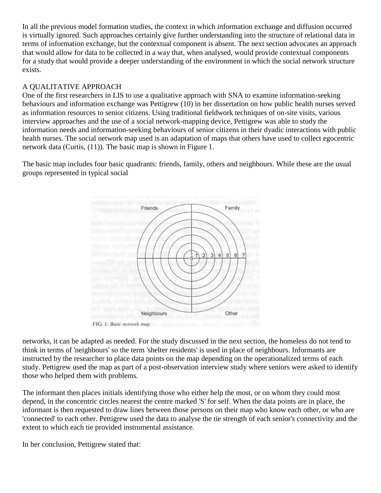In all the previous model formation studies, the context in which information exchange and diffusion occurred is virtually ignored. Such approaches certainly give further understanding into the structure of relational data in terms of information exchange, but the contextual component is absent. The next section advocates an approach that would allow for data to be collected in a way that, when analysed, would provide contextual components for a study that would provide a deeper understanding of the environment in which the social network structure exists.

## A QUALITATIVE APPROACH

One of the first researchers in LIS to use a qualitative approach with SNA to examine information-seeking behaviours and information exchange was Pettigrew (10) in her dissertation on how public health nurses served as information resources to senior citizens. Using traditional fieldwork techniques of on-site visits, various interview approaches and the use of a social network-mapping device, Pettigrew was able to study the information needs and information-seeking behaviours of senior citizens in their dyadic interactions with public health nurses. The social network map used is an adaptation of maps that others have used to collect egocentric network data (Curtis, (11)). The basic map is shown in Figure 1.

The basic map includes four basic quadrants: friends, family, others and neighbours. While these are the usual groups represented in typical social



networks, it can be adapted as needed. For the study discussed in the next section, the homeless do not tend to think in terms of 'neighbours' so the term 'shelter residents' is used in place of neighbours. Informants are instructed by the researcher to place data points on the map depending on the operationalized terms of each study. Pettigrew used the map as part of a post-observation interview study where seniors were asked to identify those who helped them with problems.

The informant then places initials identifying those who either help the most, or on whom they could most depend, in the concentric circles nearest the centre marked 'S' for self. When the data points are in place, the informant is then requested to draw lines between those persons on their map who know each other, or who are 'connected' to each other. Pettigrew used the data to analyse the tie strength of each senior's connectivity and the extent to which each tie provided instrumental assistance.

In her conclusion, Pettigrew stated that: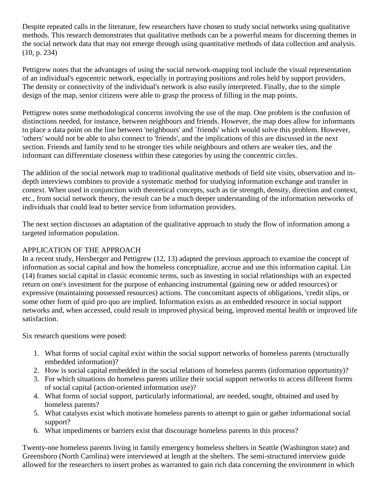Despite repeated calls in the literature, few researchers have chosen to study social networks using qualitative methods. This research demonstrates that qualitative methods can be a powerful means for discerning themes in the social network data that may not emerge through using quantitative methods of data collection and analysis. (10, p. 234)

Pettigrew notes that the advantages of using the social network-mapping tool include the visual representation of an individual's egocentric network, especially in portraying positions and roles held by support providers. The density or connectivity of the individual's network is also easily interpreted. Finally, due to the simple design of the map, senior citizens were able to grasp the process of filling in the map points.

Pettigrew notes some methodological concerns involving the use of the map. One problem is the confusion of distinctions needed, for instance, between neighbours and friends. However, the map does allow for informants to place a data point on the line between 'neighbours' and `friends' which would solve this problem. However, 'others' would not be able to also connect to 'friends', and the implications of this are discussed in the next section. Friends and family tend to be stronger ties while neighbours and others are weaker ties, and the informant can differentiate closeness within these categories by using the concentric circles.

The addition of the social network map to traditional qualitative methods of field site visits, observation and indepth interviews combines to provide a systematic method for studying information exchange and transfer in context. When used in conjunction with theoretical concepts, such as tie strength, density, direction and context, etc., from social network theory, the result can be a much deeper understanding of the information networks of individuals that could lead to better service from information providers.

The next section discusses an adaptation of the qualitative approach to study the flow of information among a targeted information population.

# APPLICATION OF THE APPROACH

In a recent study, Hersberger and Pettigrew (12, 13) adapted the previous approach to examine the concept of information as social capital and how the homeless conceptualize, accrue and use this information capital. Lin (14) frames social capital in classic economic terms, such as investing in social relationships with an expected return on one's investment for the purpose of enhancing instrumental (gaining new or added resources) or expressive (maintaining possessed resources) actions. The concomitant aspects of obligations, 'credit slips, or some other form of quid pro quo are implied. Information exists as an embedded resource in social support networks and, when accessed, could result in improved physical being, improved mental health or improved life satisfaction.

Six research questions were posed:

- 1. What forms of social capital exist within the social support networks of homeless parents (structurally embedded information)?
- 2. How is social capital embedded in the social relations of homeless parents (information opportunity)?
- 3. For which situations do homeless parents utilize their social support networks to access different forms of social capital (action-oriented information use)?
- 4. What forms of social support, particularly informational, are needed, sought, obtained and used by homeless parents?
- 5. What catalysts exist which motivate homeless parents to attempt to gain or gather informational social support?
- 6. What impediments or barriers exist that discourage homeless parents in this process?

Twenty-one homeless parents living in family emergency homeless shelters in Seattle (Washington state) and Greensboro (North Carolina) were interviewed at length at the shelters. The semi-structured interview guide allowed for the researchers to insert probes as warranted to gain rich data concerning the environment in which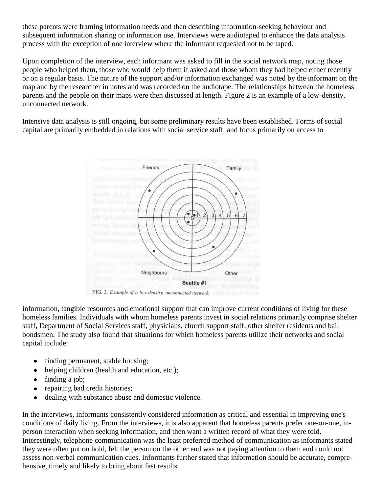these parents were framing information needs and then describing information-seeking behaviour and subsequent information sharing or information use. Interviews were audiotaped to enhance the data analysis process with the exception of one interview where the informant requested not to be taped.

Upon completion of the interview, each informant was asked to fill in the social network map, noting those people who helped them, those who would help them if asked and those whom they had helped either recently or on a regular basis. The nature of the support and/or information exchanged was noted by the informant on the map and by the researcher in notes and was recorded on the audiotape. The relationships between the homeless parents and the people on their maps were then discussed at length. Figure 2 is an example of a low-density, unconnected network.

Intensive data analysis is still ongoing, but some preliminary results have been established. Forms of social capital are primarily embedded in relations with social service staff, and focus primarily on access to



FIG. 2: Example of a low-density, unconnected network.

information, tangible resources and emotional support that can improve current conditions of living for these homeless families. Individuals with whom homeless parents invest in social relations primarily comprise shelter staff, Department of Social Services staff, physicians, church support staff, other shelter residents and bail bondsmen. The study also found that situations for which homeless parents utilize their networks and social capital include:

- finding permanent, stable housing;  $\bullet$
- helping children (health and education, etc.);  $\bullet$
- finding a job;  $\bullet$
- repairing bad credit histories;  $\bullet$
- dealing with substance abuse and domestic violence.

In the interviews, informants consistently considered information as critical and essential in improving one's conditions of daily living. From the interviews, it is also apparent that homeless parents prefer one-on-one, inperson interaction when seeking information, and then want a written record of what they were told. Interestingly, telephone communication was the least preferred method of communication as informants stated they were often put on hold, felt the person on the other end was not paying attention to them and could not assess non-verbal communication cues. Informants further stated that information should be accurate, comprehensive, timely and likely to bring about fast results.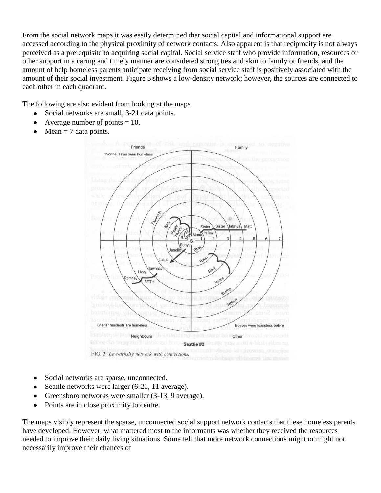From the social network maps it was easily determined that social capital and informational support are accessed according to the physical proximity of network contacts. Also apparent is that reciprocity is not always perceived as a prerequisite to acquiring social capital. Social service staff who provide information, resources or other support in a caring and timely manner are considered strong ties and akin to family or friends, and the amount of help homeless parents anticipate receiving from social service staff is positively associated with the amount of their social investment. Figure 3 shows a low-density network; however, the sources are connected to each other in each quadrant.

The following are also evident from looking at the maps.

- Social networks are small, 3-21 data points.
- Average number of points  $= 10$ .  $\bullet$
- Mean  $= 7$  data points.



- Social networks are sparse, unconnected.
- Seattle networks were larger (6-21, 11 average).
- Greensboro networks were smaller (3-13, 9 average).
- Points are in close proximity to centre.

The maps visibly represent the sparse, unconnected social support network contacts that these homeless parents have developed. However, what mattered most to the informants was whether they received the resources needed to improve their daily living situations. Some felt that more network connections might or might not necessarily improve their chances of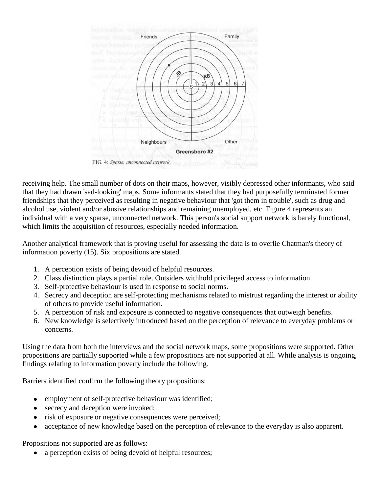

receiving help. The small number of dots on their maps, however, visibly depressed other informants, who said that they had drawn 'sad-looking' maps. Some informants stated that they had purposefully terminated former friendships that they perceived as resulting in negative behaviour that 'got them in trouble', such as drug and alcohol use, violent and/or abusive relationships and remaining unemployed, etc. Figure 4 represents an individual with a very sparse, unconnected network. This person's social support network is barely functional, which limits the acquisition of resources, especially needed information.

Another analytical framework that is proving useful for assessing the data is to overlie Chatman's theory of information poverty (15). Six propositions are stated.

- 1. A perception exists of being devoid of helpful resources.
- 2. Class distinction plays a partial role. Outsiders withhold privileged access to information.
- 3. Self-protective behaviour is used in response to social norms.
- 4. Secrecy and deception are self-protecting mechanisms related to mistrust regarding the interest or ability of others to provide useful information.
- 5. A perception of risk and exposure is connected to negative consequences that outweigh benefits.
- 6. New knowledge is selectively introduced based on the perception of relevance to everyday problems or concerns.

Using the data from both the interviews and the social network maps, some propositions were supported. Other propositions are partially supported while a few propositions are not supported at all. While analysis is ongoing, findings relating to information poverty include the following.

Barriers identified confirm the following theory propositions:

- employment of self-protective behaviour was identified;  $\bullet$
- secrecy and deception were invoked;
- risk of exposure or negative consequences were perceived;
- acceptance of new knowledge based on the perception of relevance to the everyday is also apparent.

Propositions not supported are as follows:

a perception exists of being devoid of helpful resources;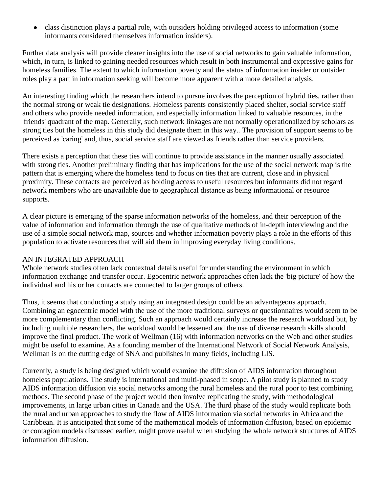class distinction plays a partial role, with outsiders holding privileged access to information (some informants considered themselves information insiders).

Further data analysis will provide clearer insights into the use of social networks to gain valuable information, which, in turn, is linked to gaining needed resources which result in both instrumental and expressive gains for homeless families. The extent to which information poverty and the status of information insider or outsider roles play a part in information seeking will become more apparent with a more detailed analysis.

An interesting finding which the researchers intend to pursue involves the perception of hybrid ties, rather than the normal strong or weak tie designations. Homeless parents consistently placed shelter, social service staff and others who provide needed information, and especially information linked to valuable resources, in the 'friends' quadrant of the map. Generally, such network linkages are not normally operationalized by scholars as strong ties but the homeless in this study did designate them in this way.. The provision of support seems to be perceived as 'caring' and, thus, social service staff are viewed as friends rather than service providers.

There exists a perception that these ties will continue to provide assistance in the manner usually associated with strong ties. Another preliminary finding that has implications for the use of the social network map is the pattern that is emerging where the homeless tend to focus on ties that are current, close and in physical proximity. These contacts are perceived as holding access to useful resources but informants did not regard network members who are unavailable due to geographical distance as being informational or resource supports.

A clear picture is emerging of the sparse information networks of the homeless, and their perception of the value of information and information through the use of qualitative methods of in-depth interviewing and the use of a simple social network map, sources and whether information poverty plays a role in the efforts of this population to activate resources that will aid them in improving everyday living conditions.

## AN INTEGRATED APPROACH

Whole network studies often lack contextual details useful for understanding the environment in which information exchange and transfer occur. Egocentric network approaches often lack the 'big picture' of how the individual and his or her contacts are connected to larger groups of others.

Thus, it seems that conducting a study using an integrated design could be an advantageous approach. Combining an egocentric model with the use of the more traditional surveys or questionnaires would seem to be more complementary than conflicting. Such an approach would certainly increase the research workload but, by including multiple researchers, the workload would be lessened and the use of diverse research skills should improve the final product. The work of Wellman (16) with information networks on the Web and other studies might be useful to examine. As a founding member of the International Network of Social Network Analysis, Wellman is on the cutting edge of SNA and publishes in many fields, including LIS.

Currently, a study is being designed which would examine the diffusion of AIDS information throughout homeless populations. The study is international and multi-phased in scope. A pilot study is planned to study AIDS information diffusion via social networks among the rural homeless and the rural poor to test combining methods. The second phase of the project would then involve replicating the study, with methodological improvements, in large urban cities in Canada and the USA. The third phase of the study would replicate both the rural and urban approaches to study the flow of AIDS information via social networks in Africa and the Caribbean. It is anticipated that some of the mathematical models of information diffusion, based on epidemic or contagion models discussed earlier, might prove useful when studying the whole network structures of AIDS information diffusion.